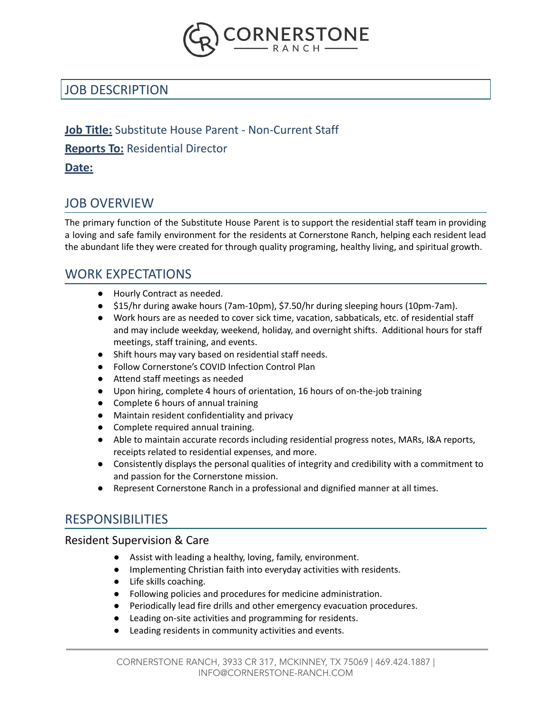

# JOB DESCRIPTION

### **Job Title:** Substitute House Parent - Non-Current Staff

### **Reports To:** Residential Director

### **Date:**

## JOB OVERVIEW

The primary function of the Substitute House Parent is to support the residential staff team in providing a loving and safe family environment for the residents at Cornerstone Ranch, helping each resident lead the abundant life they were created for through quality programing, healthy living, and spiritual growth.

## WORK EXPECTATIONS

- Hourly Contract as needed.
- \$15/hr during awake hours (7am-10pm), \$7.50/hr during sleeping hours (10pm-7am).
- Work hours are as needed to cover sick time, vacation, sabbaticals, etc. of residential staff and may include weekday, weekend, holiday, and overnight shifts. Additional hours for staff meetings, staff training, and events.
- Shift hours may vary based on residential staff needs.
- Follow Cornerstone's COVID Infection Control Plan
- Attend staff meetings as needed
- Upon hiring, complete 4 hours of orientation, 16 hours of on-the-job training
- Complete 6 hours of annual training
- Maintain resident confidentiality and privacy
- Complete required annual training.
- Able to maintain accurate records including residential progress notes, MARs, I&A reports, receipts related to residential expenses, and more.
- Consistently displays the personal qualities of integrity and credibility with a commitment to and passion for the Cornerstone mission.
- Represent Cornerstone Ranch in a professional and dignified manner at all times.

# **RESPONSIBILITIES**

### Resident Supervision & Care

- Assist with leading a healthy, loving, family, environment.
- Implementing Christian faith into everyday activities with residents.
- Life skills coaching.
- Following policies and procedures for medicine administration.
- Periodically lead fire drills and other emergency evacuation procedures.
- Leading on-site activities and programming for residents.
- Leading residents in community activities and events.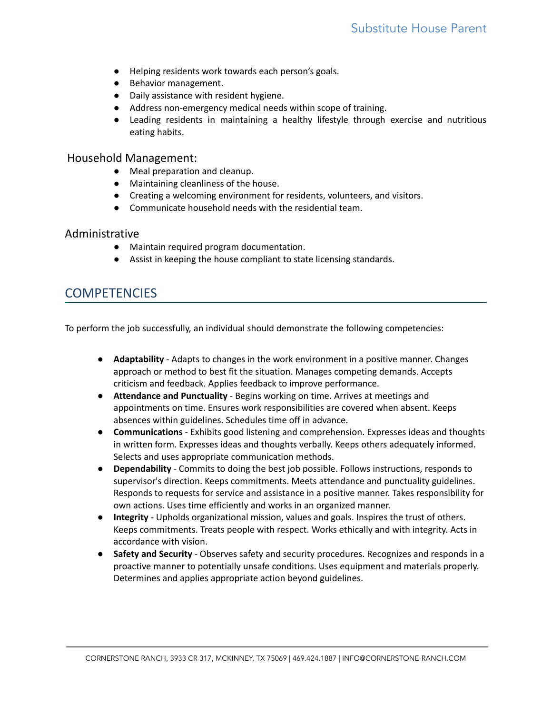- Helping residents work towards each person's goals.
- Behavior management.
- Daily assistance with resident hygiene.
- Address non-emergency medical needs within scope of training.
- Leading residents in maintaining a healthy lifestyle through exercise and nutritious eating habits.

#### Household Management:

- Meal preparation and cleanup.
- Maintaining cleanliness of the house.
- Creating a welcoming environment for residents, volunteers, and visitors.
- Communicate household needs with the residential team.

#### Administrative

- Maintain required program documentation.
- Assist in keeping the house compliant to state licensing standards.

## **COMPETENCIES**

To perform the job successfully, an individual should demonstrate the following competencies:

- **Adaptability** Adapts to changes in the work environment in a positive manner. Changes approach or method to best fit the situation. Manages competing demands. Accepts criticism and feedback. Applies feedback to improve performance.
- **Attendance and Punctuality** Begins working on time. Arrives at meetings and appointments on time. Ensures work responsibilities are covered when absent. Keeps absences within guidelines. Schedules time off in advance.
- **Communications** Exhibits good listening and comprehension. Expresses ideas and thoughts in written form. Expresses ideas and thoughts verbally. Keeps others adequately informed. Selects and uses appropriate communication methods.
- **Dependability** Commits to doing the best job possible. Follows instructions, responds to supervisor's direction. Keeps commitments. Meets attendance and punctuality guidelines. Responds to requests for service and assistance in a positive manner. Takes responsibility for own actions. Uses time efficiently and works in an organized manner.
- **Integrity** Upholds organizational mission, values and goals. Inspires the trust of others. Keeps commitments. Treats people with respect. Works ethically and with integrity. Acts in accordance with vision.
- **Safety and Security** Observes safety and security procedures. Recognizes and responds in a proactive manner to potentially unsafe conditions. Uses equipment and materials properly. Determines and applies appropriate action beyond guidelines.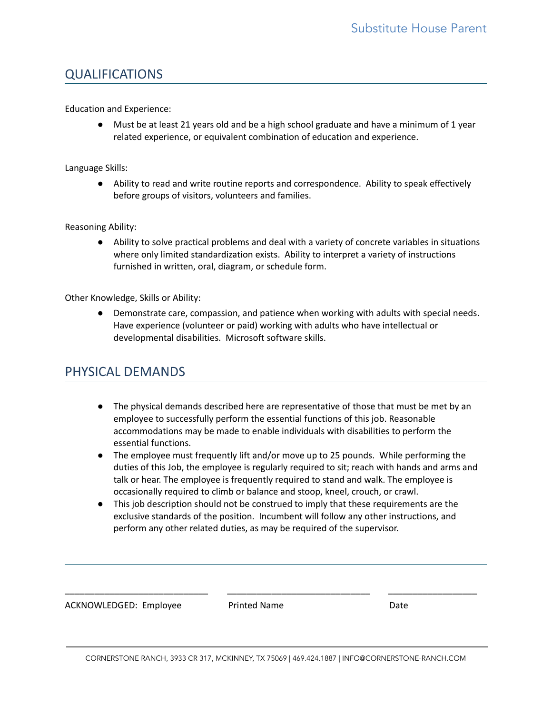## QUALIFICATIONS

Education and Experience:

● Must be at least 21 years old and be a high school graduate and have a minimum of 1 year related experience, or equivalent combination of education and experience.

#### Language Skills:

● Ability to read and write routine reports and correspondence. Ability to speak effectively before groups of visitors, volunteers and families.

Reasoning Ability:

● Ability to solve practical problems and deal with a variety of concrete variables in situations where only limited standardization exists. Ability to interpret a variety of instructions furnished in written, oral, diagram, or schedule form.

Other Knowledge, Skills or Ability:

● Demonstrate care, compassion, and patience when working with adults with special needs. Have experience (volunteer or paid) working with adults who have intellectual or developmental disabilities. Microsoft software skills.

## PHYSICAL DEMANDS

- The physical demands described here are representative of those that must be met by an employee to successfully perform the essential functions of this job. Reasonable accommodations may be made to enable individuals with disabilities to perform the essential functions.
- The employee must frequently lift and/or move up to 25 pounds. While performing the duties of this Job, the employee is regularly required to sit; reach with hands and arms and talk or hear. The employee is frequently required to stand and walk. The employee is occasionally required to climb or balance and stoop, kneel, crouch, or crawl.
- This job description should not be construed to imply that these requirements are the exclusive standards of the position. Incumbent will follow any other instructions, and perform any other related duties, as may be required of the supervisor.

ACKNOWLEDGED: Employee Printed Name Date

\_\_\_\_\_\_\_\_\_\_\_\_\_\_\_\_\_\_\_\_\_\_\_\_\_\_\_\_\_ \_\_\_\_\_\_\_\_\_\_\_\_\_\_\_\_\_\_\_\_\_\_\_\_\_\_\_\_\_ \_\_\_\_\_\_\_\_\_\_\_\_\_\_\_\_\_\_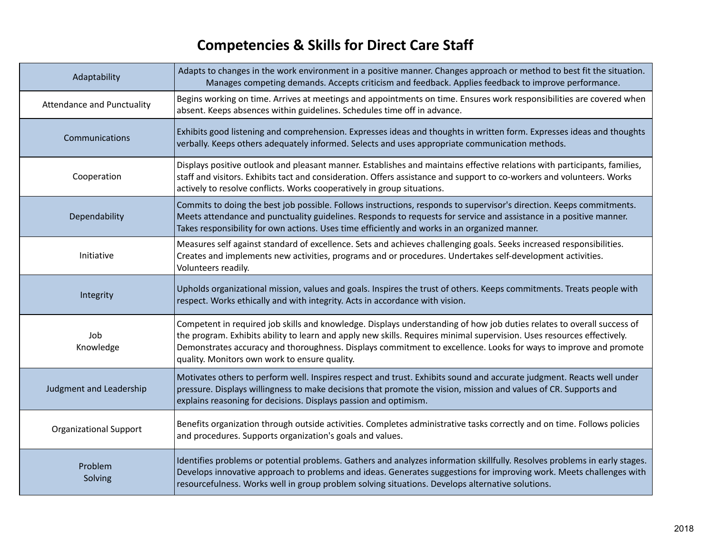# **Competencies & Skills for Direct Care Staff**

| Adaptability                      | Adapts to changes in the work environment in a positive manner. Changes approach or method to best fit the situation.<br>Manages competing demands. Accepts criticism and feedback. Applies feedback to improve performance.                                                                                                                                                                                          |
|-----------------------------------|-----------------------------------------------------------------------------------------------------------------------------------------------------------------------------------------------------------------------------------------------------------------------------------------------------------------------------------------------------------------------------------------------------------------------|
| <b>Attendance and Punctuality</b> | Begins working on time. Arrives at meetings and appointments on time. Ensures work responsibilities are covered when<br>absent. Keeps absences within guidelines. Schedules time off in advance.                                                                                                                                                                                                                      |
| Communications                    | Exhibits good listening and comprehension. Expresses ideas and thoughts in written form. Expresses ideas and thoughts<br>verbally. Keeps others adequately informed. Selects and uses appropriate communication methods.                                                                                                                                                                                              |
| Cooperation                       | Displays positive outlook and pleasant manner. Establishes and maintains effective relations with participants, families,<br>staff and visitors. Exhibits tact and consideration. Offers assistance and support to co-workers and volunteers. Works<br>actively to resolve conflicts. Works cooperatively in group situations.                                                                                        |
| Dependability                     | Commits to doing the best job possible. Follows instructions, responds to supervisor's direction. Keeps commitments.<br>Meets attendance and punctuality guidelines. Responds to requests for service and assistance in a positive manner.<br>Takes responsibility for own actions. Uses time efficiently and works in an organized manner.                                                                           |
| Initiative                        | Measures self against standard of excellence. Sets and achieves challenging goals. Seeks increased responsibilities.<br>Creates and implements new activities, programs and or procedures. Undertakes self-development activities.<br>Volunteers readily.                                                                                                                                                             |
| Integrity                         | Upholds organizational mission, values and goals. Inspires the trust of others. Keeps commitments. Treats people with<br>respect. Works ethically and with integrity. Acts in accordance with vision.                                                                                                                                                                                                                 |
| Job<br>Knowledge                  | Competent in required job skills and knowledge. Displays understanding of how job duties relates to overall success of<br>the program. Exhibits ability to learn and apply new skills. Requires minimal supervision. Uses resources effectively.<br>Demonstrates accuracy and thoroughness. Displays commitment to excellence. Looks for ways to improve and promote<br>quality. Monitors own work to ensure quality. |
| Judgment and Leadership           | Motivates others to perform well. Inspires respect and trust. Exhibits sound and accurate judgment. Reacts well under<br>pressure. Displays willingness to make decisions that promote the vision, mission and values of CR. Supports and<br>explains reasoning for decisions. Displays passion and optimism.                                                                                                         |
| <b>Organizational Support</b>     | Benefits organization through outside activities. Completes administrative tasks correctly and on time. Follows policies<br>and procedures. Supports organization's goals and values.                                                                                                                                                                                                                                 |
| Problem<br>Solving                | Identifies problems or potential problems. Gathers and analyzes information skillfully. Resolves problems in early stages.<br>Develops innovative approach to problems and ideas. Generates suggestions for improving work. Meets challenges with<br>resourcefulness. Works well in group problem solving situations. Develops alternative solutions.                                                                 |